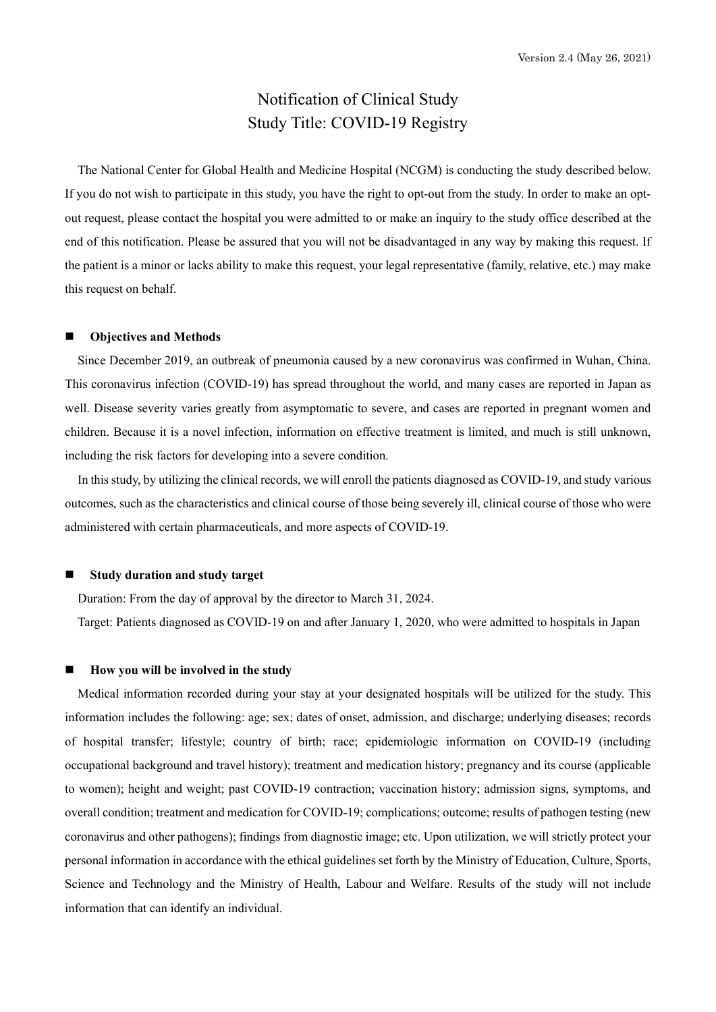# Notification of Clinical Study Study Title: COVID-19 Registry

The National Center for Global Health and Medicine Hospital (NCGM) is conducting the study described below. If you do not wish to participate in this study, you have the right to opt-out from the study. In order to make an optout request, please contact the hospital you were admitted to or make an inquiry to the study office described at the end of this notification. Please be assured that you will not be disadvantaged in any way by making this request. If the patient is a minor or lacks ability to make this request, your legal representative (family, relative, etc.) may make this request on behalf.

#### Objectives and Methods

Since December 2019, an outbreak of pneumonia caused by a new coronavirus was confirmed in Wuhan, China. This coronavirus infection (COVID-19) has spread throughout the world, and many cases are reported in Japan as well. Disease severity varies greatly from asymptomatic to severe, and cases are reported in pregnant women and children. Because it is a novel infection, information on effective treatment is limited, and much is still unknown, including the risk factors for developing into a severe condition.

In this study, by utilizing the clinical records, we will enroll the patients diagnosed as COVID-19, and study various outcomes, such as the characteristics and clinical course of those being severely ill, clinical course of those who were administered with certain pharmaceuticals, and more aspects of COVID-19.

# Study duration and study target

Duration: From the day of approval by the director to March 31, 2024.

Target: Patients diagnosed as COVID-19 on and after January 1, 2020, who were admitted to hospitals in Japan

## How you will be involved in the study

Medical information recorded during your stay at your designated hospitals will be utilized for the study. This information includes the following: age; sex; dates of onset, admission, and discharge; underlying diseases; records of hospital transfer; lifestyle; country of birth; race; epidemiologic information on COVID-19 (including occupational background and travel history); treatment and medication history; pregnancy and its course (applicable to women); height and weight; past COVID-19 contraction; vaccination history; admission signs, symptoms, and overall condition; treatment and medication for COVID-19; complications; outcome; results of pathogen testing (new coronavirus and other pathogens); findings from diagnostic image; etc. Upon utilization, we will strictly protect your personal information in accordance with the ethical guidelines set forth by the Ministry of Education, Culture, Sports, Science and Technology and the Ministry of Health, Labour and Welfare. Results of the study will not include information that can identify an individual.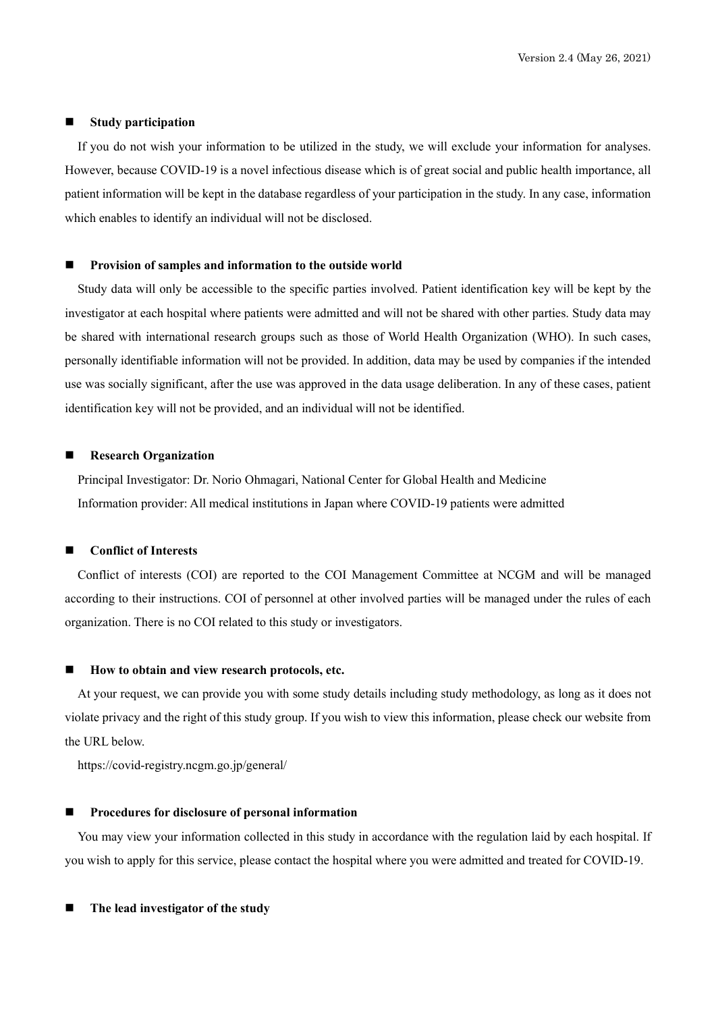#### **Study participation**

If you do not wish your information to be utilized in the study, we will exclude your information for analyses. However, because COVID-19 is a novel infectious disease which is of great social and public health importance, all patient information will be kept in the database regardless of your participation in the study. In any case, information which enables to identify an individual will not be disclosed.

#### Provision of samples and information to the outside world

Study data will only be accessible to the specific parties involved. Patient identification key will be kept by the investigator at each hospital where patients were admitted and will not be shared with other parties. Study data may be shared with international research groups such as those of World Health Organization (WHO). In such cases, personally identifiable information will not be provided. In addition, data may be used by companies if the intended use was socially significant, after the use was approved in the data usage deliberation. In any of these cases, patient identification key will not be provided, and an individual will not be identified.

## Research Organization

Principal Investigator: Dr. Norio Ohmagari, National Center for Global Health and Medicine Information provider: All medical institutions in Japan where COVID-19 patients were admitted

# Conflict of Interests

Conflict of interests (COI) are reported to the COI Management Committee at NCGM and will be managed according to their instructions. COI of personnel at other involved parties will be managed under the rules of each organization. There is no COI related to this study or investigators.

#### How to obtain and view research protocols, etc.

At your request, we can provide you with some study details including study methodology, as long as it does not violate privacy and the right of this study group. If you wish to view this information, please check our website from the URL below.

https://covid-registry.ncgm.go.jp/general/

## Procedures for disclosure of personal information

You may view your information collected in this study in accordance with the regulation laid by each hospital. If you wish to apply for this service, please contact the hospital where you were admitted and treated for COVID-19.

The lead investigator of the study